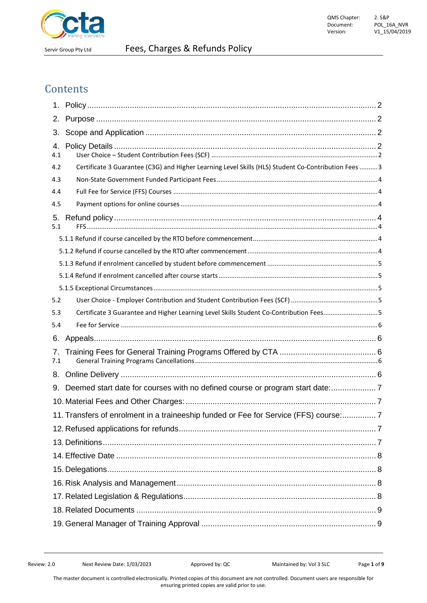

## **Contents**

| 1.        |                                                                                                      |
|-----------|------------------------------------------------------------------------------------------------------|
| 2.        |                                                                                                      |
| 3.        |                                                                                                      |
| 4.        |                                                                                                      |
| 4.1       |                                                                                                      |
| 4.2       | Certificate 3 Guarantee (C3G) and Higher Learning Level Skills (HLS) Student Co-Contribution Fees  3 |
| 4.3       |                                                                                                      |
| 4.4       |                                                                                                      |
| 4.5       |                                                                                                      |
| 5.<br>5.1 |                                                                                                      |
|           |                                                                                                      |
|           |                                                                                                      |
|           |                                                                                                      |
|           |                                                                                                      |
|           |                                                                                                      |
| 5.2       |                                                                                                      |
| 5.3       | Certificate 3 Guarantee and Higher Learning Level Skills Student Co-Contribution Fees5               |
| 5.4       |                                                                                                      |
| 6.        |                                                                                                      |
| 7.<br>7.1 |                                                                                                      |
| 8.        |                                                                                                      |
| 9.        | Deemed start date for courses with no defined course or program start date:                          |
|           |                                                                                                      |
|           | 11. Transfers of enrolment in a traineeship funded or Fee for Service (FFS) course: 7                |
|           |                                                                                                      |
|           |                                                                                                      |
|           |                                                                                                      |
|           |                                                                                                      |
|           |                                                                                                      |
|           |                                                                                                      |
|           |                                                                                                      |
|           |                                                                                                      |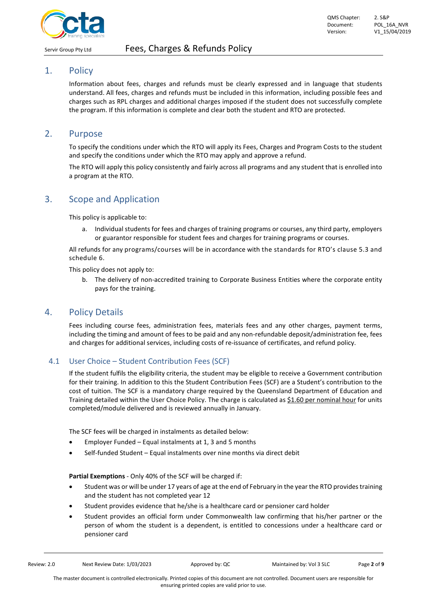

# QMS Chapter: 2. S&P

#### <span id="page-1-0"></span>1. Policy

Information about fees, charges and refunds must be clearly expressed and in language that students understand. All fees, charges and refunds must be included in this information, including possible fees and charges such as RPL charges and additional charges imposed if the student does not successfully complete the program. If this information is complete and clear both the student and RTO are protected.

## <span id="page-1-1"></span>2. Purpose

To specify the conditions under which the RTO will apply its Fees, Charges and Program Costs to the student and specify the conditions under which the RTO may apply and approve a refund.

The RTO will apply this policy consistently and fairly across all programs and any student that is enrolled into a program at the RTO.

## <span id="page-1-2"></span>3. Scope and Application

This policy is applicable to:

a. Individual students for fees and charges of training programs or courses, any third party, employers or guarantor responsible for student fees and charges for training programs or courses.

All refunds for any programs/courses will be in accordance with the standards for RTO's clause 5.3 and schedule 6.

This policy does not apply to:

b. The delivery of non-accredited training to Corporate Business Entities where the corporate entity pays for the training.

## <span id="page-1-3"></span>4. Policy Details

Fees including course fees, administration fees, materials fees and any other charges, payment terms, including the timing and amount of fees to be paid and any non-refundable deposit/administration fee, fees and charges for additional services, including costs of re-issuance of certificates, and refund policy.

#### <span id="page-1-4"></span>4.1 User Choice – Student Contribution Fees (SCF)

If the student fulfils the eligibility criteria, the student may be eligible to receive a Government contribution for their training. In addition to this the Student Contribution Fees (SCF) are a Student's contribution to the cost of tuition. The SCF is a mandatory charge required by the Queensland Department of Education and Training detailed within the User Choice Policy. The charge is calculated as \$1.60 per nominal hour for units completed/module delivered and is reviewed annually in January.

The SCF fees will be charged in instalments as detailed below:

- Employer Funded Equal instalments at 1, 3 and 5 months
- Self-funded Student Equal instalments over nine months via direct debit

**Partial Exemptions** - Only 40% of the SCF will be charged if:

- Student was or will be under 17 years of age at the end of February in the year the RTO provides training and the student has not completed year 12
- Student provides evidence that he/she is a healthcare card or pensioner card holder
- Student provides an official form under Commonwealth law confirming that his/her partner or the person of whom the student is a dependent, is entitled to concessions under a healthcare card or pensioner card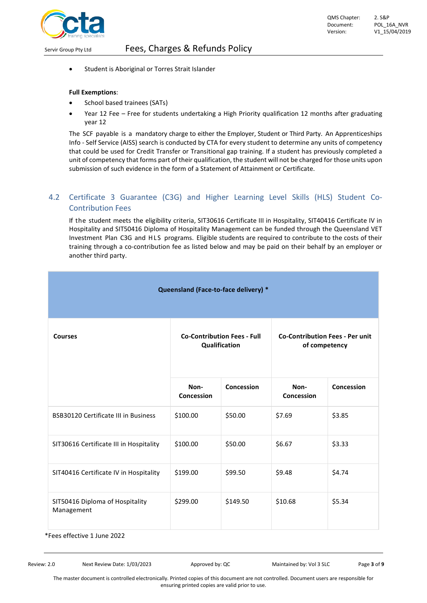

Student is Aboriginal or Torres Strait Islander

#### **Full Exemptions**:

- School based trainees (SATs)
- Year 12 Fee Free for students undertaking a High Priority qualification 12 months after graduating year 12

The SCF payable is a mandatory charge to either the Employer, Student or Third Party. An Apprenticeships Info - Self Service (AISS) search is conducted by CTA for every student to determine any units of competency that could be used for Credit Transfer or Transitional gap training. If a student has previously completed a unit of competency that forms part of their qualification, the student will not be charged for those units upon submission of such evidence in the form of a Statement of Attainment or Certificate.

## <span id="page-2-0"></span>4.2 Certificate 3 Guarantee (C3G) and Higher Learning Level Skills (HLS) Student Co-Contribution Fees

If the student meets the eligibility criteria, SIT30616 Certificate III in Hospitality, SIT40416 Certificate IV in Hospitality and SIT50416 Diploma of Hospitality Management can be funded through the Queensland VET Investment Plan C3G and HLS programs. Eligible students are required to contribute to the costs of their training through a co-contribution fee as listed below and may be paid on their behalf by an employer or another third party.

| Queensland (Face-to-face delivery) *          |                                                     |            |                                                         |            |  |  |  |  |
|-----------------------------------------------|-----------------------------------------------------|------------|---------------------------------------------------------|------------|--|--|--|--|
| <b>Courses</b>                                | <b>Co-Contribution Fees - Full</b><br>Qualification |            | <b>Co-Contribution Fees - Per unit</b><br>of competency |            |  |  |  |  |
|                                               | Non-<br>Concession                                  | Concession | Non-<br>Concession                                      | Concession |  |  |  |  |
| <b>BSB30120 Certificate III in Business</b>   | \$100.00                                            | \$50.00    | \$7.69                                                  | \$3.85     |  |  |  |  |
| SIT30616 Certificate III in Hospitality       | \$100.00                                            | \$50.00    | \$6.67                                                  | \$3.33     |  |  |  |  |
| SIT40416 Certificate IV in Hospitality        | \$199.00                                            | \$99.50    | \$9.48                                                  | \$4.74     |  |  |  |  |
| SIT50416 Diploma of Hospitality<br>Management | \$299.00                                            | \$149.50   | \$10.68                                                 | \$5.34     |  |  |  |  |

\*Fees effective 1 June 2022

Review: 2.0 Next Review Date: 1/03/2023 Approved by: QC Maintained by: Vol 3 SLC Page 3 of 9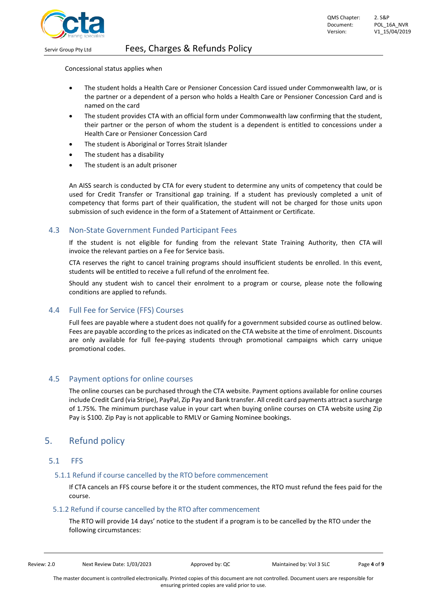

Concessional status applies when

- The student holds a Health Care or Pensioner Concession Card issued under Commonwealth law, or is the partner or a dependent of a person who holds a Health Care or Pensioner Concession Card and is named on the card
- The student provides CTA with an official form under Commonwealth law confirming that the student, their partner or the person of whom the student is a dependent is entitled to concessions under a Health Care or Pensioner Concession Card
- The student is Aboriginal or Torres Strait Islander
- The student has a disability
- The student is an adult prisoner

An AISS search is conducted by CTA for every student to determine any units of competency that could be used for Credit Transfer or Transitional gap training. If a student has previously completed a unit of competency that forms part of their qualification, the student will not be charged for those units upon submission of such evidence in the form of a Statement of Attainment or Certificate.

#### <span id="page-3-0"></span>4.3 Non-State Government Funded Participant Fees

If the student is not eligible for funding from the relevant State Training Authority, then CTA will invoice the relevant parties on a Fee for Service basis.

CTA reserves the right to cancel training programs should insufficient students be enrolled. In this event, students will be entitled to receive a full refund of the enrolment fee.

Should any student wish to cancel their enrolment to a program or course, please note the following conditions are applied to refunds.

## <span id="page-3-1"></span>4.4 Full Fee for Service (FFS) Courses

Full fees are payable where a student does not qualify for a government subsided course as outlined below. Fees are payable according to the prices as indicated on the CTA website at the time of enrolment. Discounts are only available for full fee-paying students through promotional campaigns which carry unique promotional codes.

## <span id="page-3-2"></span>4.5 Payment options for online courses

The online courses can be purchased through the CTA website. Payment options available for online courses include Credit Card (via Stripe), PayPal, Zip Pay and Bank transfer. All credit card payments attract a surcharge of 1.75%. The minimum purchase value in your cart when buying online courses on CTA website using Zip Pay is \$100. Zip Pay is not applicable to RMLV or Gaming Nominee bookings.

## <span id="page-3-3"></span>5. Refund policy

#### <span id="page-3-4"></span>5.1 FFS

#### <span id="page-3-5"></span>5.1.1 Refund if course cancelled by the RTO before commencement

If CTA cancels an FFS course before it or the student commences, the RTO must refund the fees paid for the course.

#### <span id="page-3-6"></span>5.1.2 Refund if course cancelled by the RTO after commencement

The RTO will provide 14 days' notice to the student if a program is to be cancelled by the RTO under the following circumstances:

| Review: 2.0 | Next Review Date: 1/03/2023 | Approved by: QC | Maintained by: Vol 3 SLC | Page 4 of 9 |
|-------------|-----------------------------|-----------------|--------------------------|-------------|
|             |                             |                 |                          |             |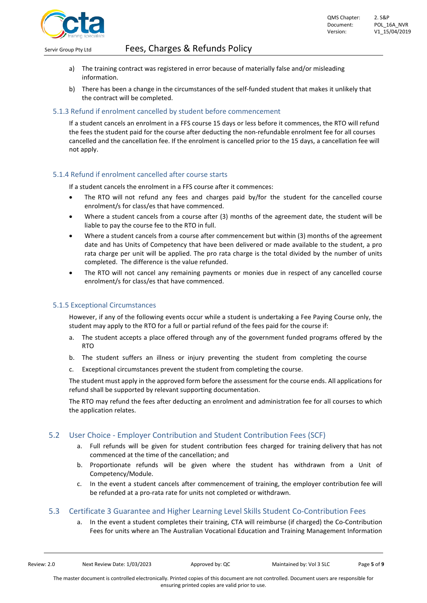

- a) The training contract was registered in error because of materially false and/or misleading information.
- b) There has been a change in the circumstances of the self-funded student that makes it unlikely that the contract will be completed.

#### <span id="page-4-0"></span>5.1.3 Refund if enrolment cancelled by student before commencement

If a student cancels an enrolment in a FFS course 15 days or less before it commences, the RTO will refund the fees the student paid for the course after deducting the non-refundable enrolment fee for all courses cancelled and the cancellation fee. If the enrolment is cancelled prior to the 15 days, a cancellation fee will not apply.

#### <span id="page-4-1"></span>5.1.4 Refund if enrolment cancelled after course starts

If a student cancels the enrolment in a FFS course after it commences:

- The RTO will not refund any fees and charges paid by/for the student for the cancelled course enrolment/s for class/es that have commenced.
- Where a student cancels from a course after (3) months of the agreement date, the student will be liable to pay the course fee to the RTO in full.
- Where a student cancels from a course after commencement but within (3) months of the agreement date and has Units of Competency that have been delivered or made available to the student, a pro rata charge per unit will be applied. The pro rata charge is the total divided by the number of units completed. The difference is the value refunded.
- The RTO will not cancel any remaining payments or monies due in respect of any cancelled course enrolment/s for class/es that have commenced.

#### <span id="page-4-2"></span>5.1.5 Exceptional Circumstances

However, if any of the following events occur while a student is undertaking a Fee Paying Course only, the student may apply to the RTO for a full or partial refund of the fees paid for the course if:

- a. The student accepts a place offered through any of the government funded programs offered by the RTO
- b. The student suffers an illness or injury preventing the student from completing the course
- Exceptional circumstances prevent the student from completing the course.

The student must apply in the approved form before the assessment for the course ends. All applications for refund shall be supported by relevant supporting documentation.

The RTO may refund the fees after deducting an enrolment and administration fee for all courses to which the application relates.

#### <span id="page-4-3"></span>5.2 User Choice - Employer Contribution and Student Contribution Fees (SCF)

- a. Full refunds will be given for student contribution fees charged for training delivery that has not commenced at the time of the cancellation; and
- b. Proportionate refunds will be given where the student has withdrawn from a Unit of Competency/Module.
- c. In the event a student cancels after commencement of training, the employer contribution fee will be refunded at a pro-rata rate for units not completed or withdrawn.

#### <span id="page-4-4"></span>5.3 Certificate 3 Guarantee and Higher Learning Level Skills Student Co-Contribution Fees

a. In the event a student completes their training, CTA will reimburse (if charged) the Co-Contribution Fees for units where an The Australian Vocational Education and Training Management Information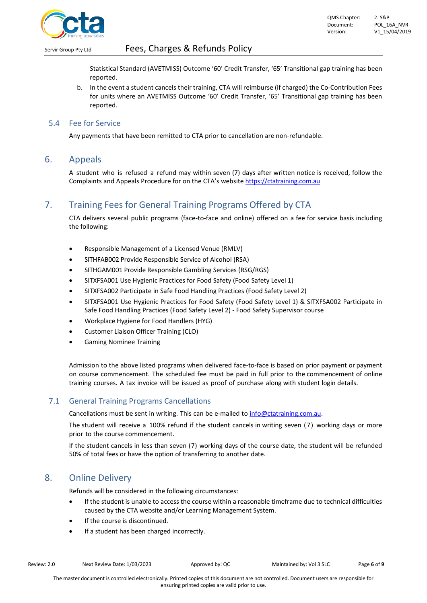

Statistical Standard (AVETMISS) Outcome '60' Credit Transfer, '65' Transitional gap training has been reported.

b. In the event a student cancels their training, CTA will reimburse (if charged) the Co-Contribution Fees for units where an AVETMISS Outcome '60' Credit Transfer, '65' Transitional gap training has been reported.

#### <span id="page-5-0"></span>5.4 Fee for Service

Any payments that have been remitted to CTA prior to cancellation are non-refundable.

#### <span id="page-5-1"></span>6. Appeals

A student who is refused a refund may within seven (7) days after written notice is received, follow the Complaints and Appeals Procedure for on the CTA's website [https://ctatraining.com.au](https://ctatraining.com.au/)

## <span id="page-5-2"></span>7. Training Fees for General Training Programs Offered by CTA

CTA delivers several public programs (face-to-face and online) offered on a fee for service basis including the following:

- Responsible Management of a Licensed Venue (RMLV)
- SITHFAB002 Provide Responsible Service of Alcohol (RSA)
- SITHGAM001 Provide Responsible Gambling Services (RSG/RGS)
- SITXFSA001 Use Hygienic Practices for Food Safety (Food Safety Level 1)
- SITXFSA002 Participate in Safe Food Handling Practices (Food Safety Level 2)
- SITXFSA001 Use Hygienic Practices for Food Safety (Food Safety Level 1) & SITXFSA002 Participate in Safe Food Handling Practices (Food Safety Level 2) - Food Safety Supervisor course
- Workplace Hygiene for Food Handlers (HYG)
- Customer Liaison Officer Training (CLO)
- Gaming Nominee Training

Admission to the above listed programs when delivered face-to-face is based on prior payment or payment on course commencement. The scheduled fee must be paid in full prior to the commencement of online training courses. A tax invoice will be issued as proof of purchase along with student login details.

#### <span id="page-5-3"></span>7.1 General Training Programs Cancellations

Cancellations must be sent in writing. This can be e-mailed to [info@ctatraining.com.au.](mailto:info@ctatraining.com.au)

The student will receive a 100% refund if the student cancels in writing seven (7) working days or more prior to the course commencement.

If the student cancels in less than seven (7) working days of the course date, the student will be refunded 50% of total fees or have the option of transferring to another date.

## <span id="page-5-4"></span>8. Online Delivery

Refunds will be considered in the following circumstances:

- If the student is unable to access the course within a reasonable timeframe due to technical difficulties caused by the CTA website and/or Learning Management System.
- If the course is discontinued.
- If a student has been charged incorrectly.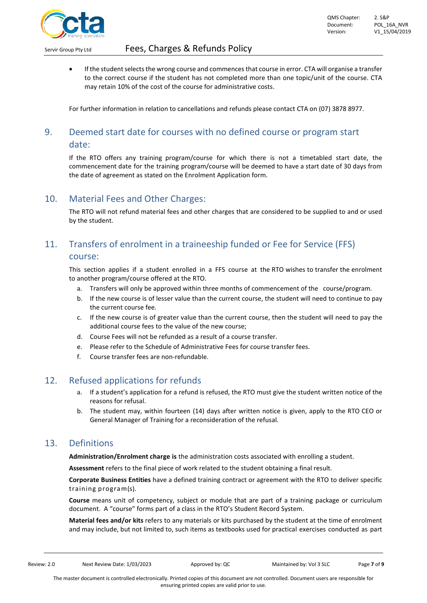

• If the student selects the wrong course and commences that course in error. CTA will organise a transfer to the correct course if the student has not completed more than one topic/unit of the course. CTA may retain 10% of the cost of the course for administrative costs.

For further information in relation to cancellations and refunds please contact CTA on (07) 3878 8977.

## <span id="page-6-0"></span>9. Deemed start date for courses with no defined course or program start date:

If the RTO offers any training program/course for which there is not a timetabled start date, the commencement date for the training program/course will be deemed to have a start date of 30 days from the date of agreement as stated on the Enrolment Application form.

## <span id="page-6-1"></span>10. Material Fees and Other Charges:

The RTO will not refund material fees and other charges that are considered to be supplied to and or used by the student.

## <span id="page-6-2"></span>11. Transfers of enrolment in a traineeship funded or Fee for Service (FFS) course:

This section applies if a student enrolled in a FFS course at the RTO wishes to transfer the enrolment to another program/course offered at the RTO.

- a. Transfers will only be approved within three months of commencement of the course/program.
- b. If the new course is of lesser value than the current course, the student will need to continue to pay the current course fee.
- c. If the new course is of greater value than the current course, then the student will need to pay the additional course fees to the value of the new course;
- d. Course Fees will not be refunded as a result of a course transfer.
- e. Please refer to the Schedule of Administrative Fees for course transfer fees.
- f. Course transfer fees are non-refundable.

## <span id="page-6-3"></span>12. Refused applications for refunds

- a. If a student's application for a refund is refused, the RTO must give the student written notice of the reasons for refusal.
- b. The student may, within fourteen (14) days after written notice is given, apply to the RTO CEO or General Manager of Training for a reconsideration of the refusal.

## <span id="page-6-4"></span>13. Definitions

**Administration/Enrolment charge is** the administration costs associated with enrolling a student.

**Assessment** refers to the final piece of work related to the student obtaining a final result.

**Corporate Business Entities** have a defined training contract or agreement with the RTO to deliver specific training program(s).

**Course** means unit of competency, subject or module that are part of a training package or curriculum document. A "course" forms part of a class in the RTO's Student Record System.

**Material fees and/or kits** refers to any materials or kits purchased by the student at the time of enrolment and may include, but not limited to, such items as textbooks used for practical exercises conducted as part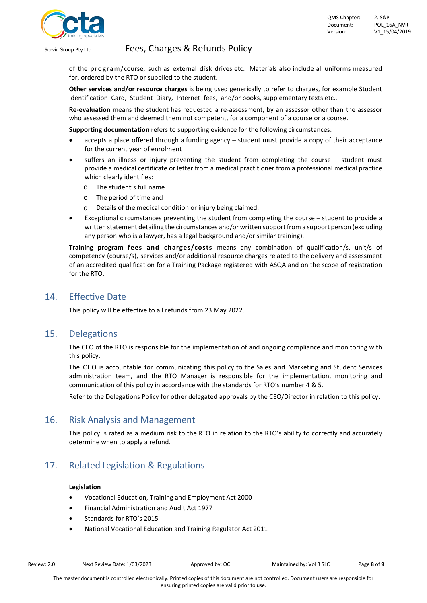

of the program/course, such as external disk drives etc. Materials also include all uniforms measured for, ordered by the RTO or supplied to the student.

**Other services and/or resource charges** is being used generically to refer to charges, for example Student Identification Card, Student Diary, Internet fees, and/or books, supplementary texts etc..

**Re-evaluation** means the student has requested a re-assessment, by an assessor other than the assessor who assessed them and deemed them not competent, for a component of a course or a course.

**Supporting documentation** refers to supporting evidence for the following circumstances:

- accepts a place offered through a funding agency student must provide a copy of their acceptance for the current year of enrolment
- suffers an illness or injury preventing the student from completing the course student must provide a medical certificate or letter from a medical practitioner from a professional medical practice which clearly identifies:
	- o The student's full name
	- $\circ$  The period of time and
	- o Details of the medical condition or injury being claimed.
- Exceptional circumstances preventing the student from completing the course student to provide a written statement detailing the circumstances and/or written support from a support person (excluding any person who is a lawyer, has a legal background and/or similar training).

**Training program fees and charges/costs** means any combination of qualification/s, unit/s of competency (course/s), services and/or additional resource charges related to the delivery and assessment of an accredited qualification for a Training Package registered with ASQA and on the scope of registration for the RTO.

## <span id="page-7-0"></span>14. Effective Date

This policy will be effective to all refunds from 23 May 2022.

## <span id="page-7-1"></span>15. Delegations

The CEO of the RTO is responsible for the implementation of and ongoing compliance and monitoring with this policy.

The CEO is accountable for communicating this policy to the Sales and Marketing and Student Services administration team, and the RTO Manager is responsible for the implementation, monitoring and communication of this policy in accordance with the standards for RTO's number 4 & 5.

Refer to the Delegations Policy for other delegated approvals by the CEO/Director in relation to this policy.

## <span id="page-7-2"></span>16. Risk Analysis and Management

This policy is rated as a medium risk to the RTO in relation to the RTO's ability to correctly and accurately determine when to apply a refund.

## <span id="page-7-3"></span>17. Related Legislation & Regulations

#### **Legislation**

- Vocational Education, Training and Employment Act 2000
- Financial Administration and Audit Act 1977
- Standards for RTO's 2015
- National Vocational Education and Training Regulator Act 2011